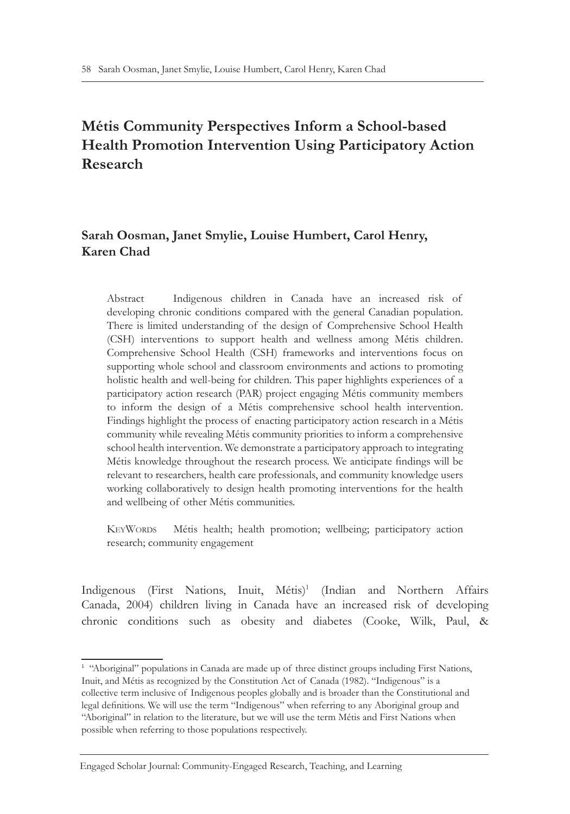# **Métis Community Perspectives Inform a School-based Health Promotion Intervention Using Participatory Action Research**

# **Sarah Oosman, Janet Smylie, Louise Humbert, Carol Henry, Karen Chad**

Abstract Indigenous children in Canada have an increased risk of developing chronic conditions compared with the general Canadian population. There is limited understanding of the design of Comprehensive School Health (CSH) interventions to support health and wellness among Métis children. Comprehensive School Health (CSH) frameworks and interventions focus on supporting whole school and classroom environments and actions to promoting holistic health and well-being for children. This paper highlights experiences of a participatory action research (PAR) project engaging Métis community members to inform the design of a Métis comprehensive school health intervention. Findings highlight the process of enacting participatory action research in a Métis community while revealing Métis community priorities to inform a comprehensive school health intervention. We demonstrate a participatory approach to integrating Métis knowledge throughout the research process. We anticipate findings will be relevant to researchers, health care professionals, and community knowledge users working collaboratively to design health promoting interventions for the health and wellbeing of other Métis communities.

KeyWords Métis health; health promotion; wellbeing; participatory action research; community engagement

Indigenous (First Nations, Inuit, Métis)<sup>1</sup> (Indian and Northern Affairs Canada, 2004) children living in Canada have an increased risk of developing chronic conditions such as obesity and diabetes (Cooke, Wilk, Paul, &

<sup>&</sup>lt;sup>1</sup> "Aboriginal" populations in Canada are made up of three distinct groups including First Nations, Inuit, and Métis as recognized by the Constitution Act of Canada (1982). "Indigenous" is a collective term inclusive of Indigenous peoples globally and is broader than the Constitutional and legal definitions. We will use the term "Indigenous" when referring to any Aboriginal group and "Aboriginal" in relation to the literature, but we will use the term Métis and First Nations when possible when referring to those populations respectively.

Engaged Scholar Journal: Community-Engaged Research, Teaching, and Learning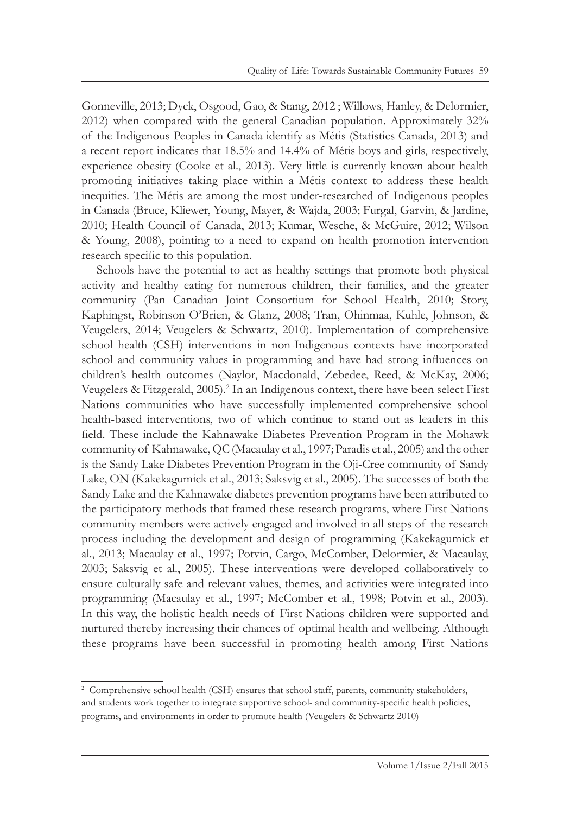Gonneville, 2013; Dyck, Osgood, Gao, & Stang, 2012 ; Willows, Hanley, & Delormier, 2012) when compared with the general Canadian population. Approximately 32% of the Indigenous Peoples in Canada identify as Métis (Statistics Canada, 2013) and a recent report indicates that 18.5% and 14.4% of Métis boys and girls, respectively, experience obesity (Cooke et al., 2013). Very little is currently known about health promoting initiatives taking place within a Métis context to address these health inequities. The Métis are among the most under-researched of Indigenous peoples in Canada (Bruce, Kliewer, Young, Mayer, & Wajda, 2003; Furgal, Garvin, & Jardine, 2010; Health Council of Canada, 2013; Kumar, Wesche, & McGuire, 2012; Wilson & Young, 2008), pointing to a need to expand on health promotion intervention research specific to this population.

Schools have the potential to act as healthy settings that promote both physical activity and healthy eating for numerous children, their families, and the greater community (Pan Canadian Joint Consortium for School Health, 2010; Story, Kaphingst, Robinson-O'Brien, & Glanz, 2008; Tran, Ohinmaa, Kuhle, Johnson, & Veugelers, 2014; Veugelers & Schwartz, 2010). Implementation of comprehensive school health (CSH) interventions in non-Indigenous contexts have incorporated school and community values in programming and have had strong influences on children's health outcomes (Naylor, Macdonald, Zebedee, Reed, & McKay, 2006; Veugelers & Fitzgerald, 2005).<sup>2</sup> In an Indigenous context, there have been select First Nations communities who have successfully implemented comprehensive school health-based interventions, two of which continue to stand out as leaders in this field. These include the Kahnawake Diabetes Prevention Program in the Mohawk community of Kahnawake, QC (Macaulay et al., 1997; Paradis et al., 2005) and the other is the Sandy Lake Diabetes Prevention Program in the Oji-Cree community of Sandy Lake, ON (Kakekagumick et al., 2013; Saksvig et al., 2005). The successes of both the Sandy Lake and the Kahnawake diabetes prevention programs have been attributed to the participatory methods that framed these research programs, where First Nations community members were actively engaged and involved in all steps of the research process including the development and design of programming (Kakekagumick et al., 2013; Macaulay et al., 1997; Potvin, Cargo, McComber, Delormier, & Macaulay, 2003; Saksvig et al., 2005). These interventions were developed collaboratively to ensure culturally safe and relevant values, themes, and activities were integrated into programming (Macaulay et al., 1997; McComber et al., 1998; Potvin et al., 2003). In this way, the holistic health needs of First Nations children were supported and nurtured thereby increasing their chances of optimal health and wellbeing. Although these programs have been successful in promoting health among First Nations

<sup>2</sup> Comprehensive school health (CSH) ensures that school staff, parents, community stakeholders, and students work together to integrate supportive school- and community-specific health policies, programs, and environments in order to promote health (Veugelers & Schwartz 2010)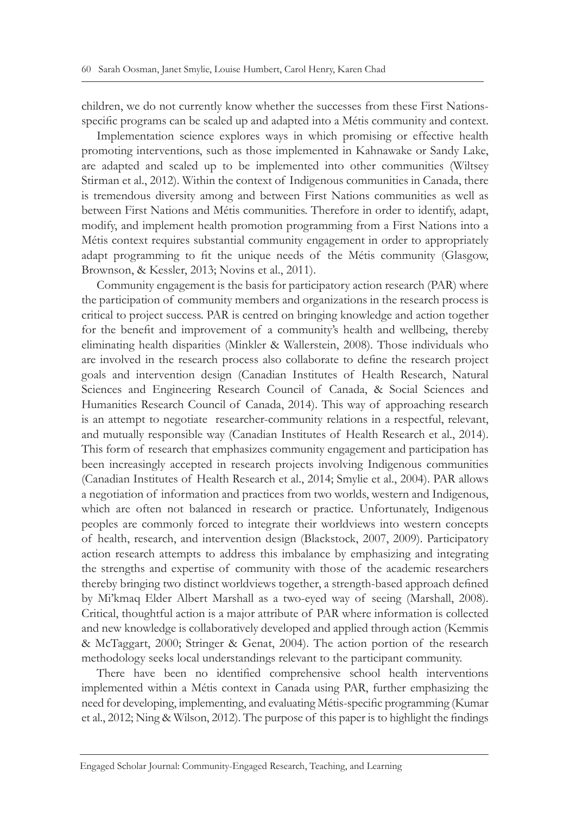children, we do not currently know whether the successes from these First Nationsspecific programs can be scaled up and adapted into a Métis community and context.

Implementation science explores ways in which promising or effective health promoting interventions, such as those implemented in Kahnawake or Sandy Lake, are adapted and scaled up to be implemented into other communities (Wiltsey Stirman et al., 2012). Within the context of Indigenous communities in Canada, there is tremendous diversity among and between First Nations communities as well as between First Nations and Métis communities. Therefore in order to identify, adapt, modify, and implement health promotion programming from a First Nations into a Métis context requires substantial community engagement in order to appropriately adapt programming to fit the unique needs of the Métis community (Glasgow, Brownson, & Kessler, 2013; Novins et al., 2011).

Community engagement is the basis for participatory action research (PAR) where the participation of community members and organizations in the research process is critical to project success. PAR is centred on bringing knowledge and action together for the benefit and improvement of a community's health and wellbeing, thereby eliminating health disparities (Minkler & Wallerstein, 2008). Those individuals who are involved in the research process also collaborate to define the research project goals and intervention design (Canadian Institutes of Health Research, Natural Sciences and Engineering Research Council of Canada, & Social Sciences and Humanities Research Council of Canada, 2014). This way of approaching research is an attempt to negotiate researcher-community relations in a respectful, relevant, and mutually responsible way (Canadian Institutes of Health Research et al., 2014). This form of research that emphasizes community engagement and participation has been increasingly accepted in research projects involving Indigenous communities (Canadian Institutes of Health Research et al., 2014; Smylie et al., 2004). PAR allows a negotiation of information and practices from two worlds, western and Indigenous, which are often not balanced in research or practice. Unfortunately, Indigenous peoples are commonly forced to integrate their worldviews into western concepts of health, research, and intervention design (Blackstock, 2007, 2009). Participatory action research attempts to address this imbalance by emphasizing and integrating the strengths and expertise of community with those of the academic researchers thereby bringing two distinct worldviews together, a strength-based approach defined by Mi'kmaq Elder Albert Marshall as a two-eyed way of seeing (Marshall, 2008). Critical, thoughtful action is a major attribute of PAR where information is collected and new knowledge is collaboratively developed and applied through action (Kemmis & McTaggart, 2000; Stringer & Genat, 2004). The action portion of the research methodology seeks local understandings relevant to the participant community.

There have been no identified comprehensive school health interventions implemented within a Métis context in Canada using PAR, further emphasizing the need for developing, implementing, and evaluating Métis-specific programming (Kumar et al., 2012; Ning & Wilson, 2012). The purpose of this paper is to highlight the findings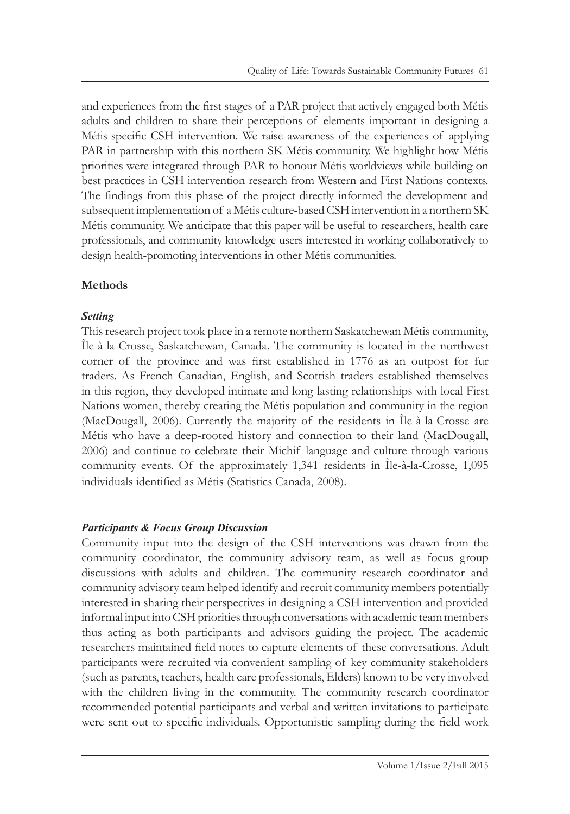and experiences from the first stages of a PAR project that actively engaged both Métis adults and children to share their perceptions of elements important in designing a Métis-specific CSH intervention. We raise awareness of the experiences of applying PAR in partnership with this northern SK Métis community. We highlight how Métis priorities were integrated through PAR to honour Métis worldviews while building on best practices in CSH intervention research from Western and First Nations contexts. The findings from this phase of the project directly informed the development and subsequent implementation of a Métis culture-based CSH intervention in a northern SK Métis community. We anticipate that this paper will be useful to researchers, health care professionals, and community knowledge users interested in working collaboratively to design health-promoting interventions in other Métis communities.

#### **Methods**

#### *Setting*

This research project took place in a remote northern Saskatchewan Métis community, Île-à-la-Crosse, Saskatchewan, Canada. The community is located in the northwest corner of the province and was first established in 1776 as an outpost for fur traders. As French Canadian, English, and Scottish traders established themselves in this region, they developed intimate and long-lasting relationships with local First Nations women, thereby creating the Métis population and community in the region (MacDougall, 2006). Currently the majority of the residents in Île-à-la-Crosse are Métis who have a deep-rooted history and connection to their land (MacDougall, 2006) and continue to celebrate their Michif language and culture through various community events. Of the approximately 1,341 residents in Île-à-la-Crosse, 1,095 individuals identified as Métis (Statistics Canada, 2008).

# *Participants & Focus Group Discussion*

Community input into the design of the CSH interventions was drawn from the community coordinator, the community advisory team, as well as focus group discussions with adults and children. The community research coordinator and community advisory team helped identify and recruit community members potentially interested in sharing their perspectives in designing a CSH intervention and provided informal input into CSH priorities through conversations with academic team members thus acting as both participants and advisors guiding the project. The academic researchers maintained field notes to capture elements of these conversations. Adult participants were recruited via convenient sampling of key community stakeholders (such as parents, teachers, health care professionals, Elders) known to be very involved with the children living in the community. The community research coordinator recommended potential participants and verbal and written invitations to participate were sent out to specific individuals. Opportunistic sampling during the field work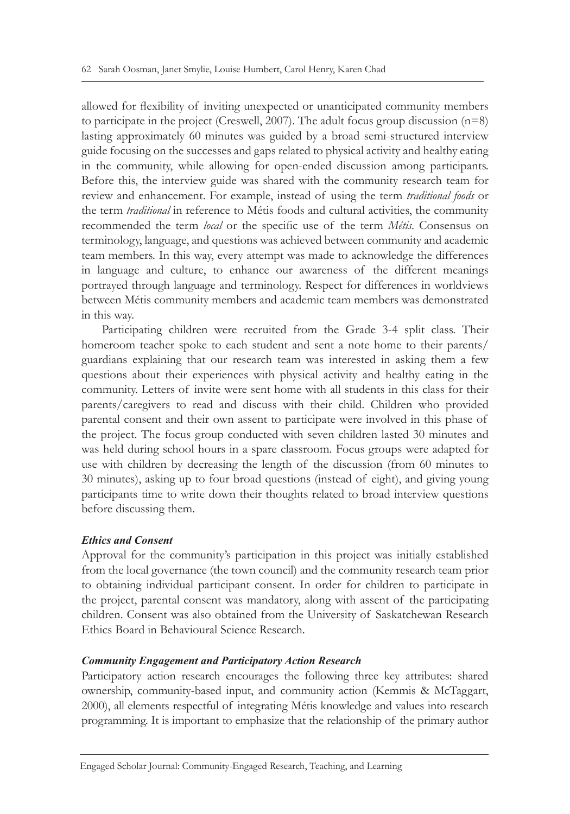allowed for flexibility of inviting unexpected or unanticipated community members to participate in the project (Creswell, 2007). The adult focus group discussion  $(n=8)$ lasting approximately 60 minutes was guided by a broad semi-structured interview guide focusing on the successes and gaps related to physical activity and healthy eating in the community, while allowing for open-ended discussion among participants. Before this, the interview guide was shared with the community research team for review and enhancement. For example, instead of using the term *traditional foods* or the term *traditional* in reference to Métis foods and cultural activities, the community recommended the term *local* or the specific use of the term *Métis*. Consensus on terminology, language, and questions was achieved between community and academic team members. In this way, every attempt was made to acknowledge the differences in language and culture, to enhance our awareness of the different meanings portrayed through language and terminology. Respect for differences in worldviews between Métis community members and academic team members was demonstrated in this way.

Participating children were recruited from the Grade 3-4 split class. Their homeroom teacher spoke to each student and sent a note home to their parents/ guardians explaining that our research team was interested in asking them a few questions about their experiences with physical activity and healthy eating in the community. Letters of invite were sent home with all students in this class for their parents/caregivers to read and discuss with their child. Children who provided parental consent and their own assent to participate were involved in this phase of the project. The focus group conducted with seven children lasted 30 minutes and was held during school hours in a spare classroom. Focus groups were adapted for use with children by decreasing the length of the discussion (from 60 minutes to 30 minutes), asking up to four broad questions (instead of eight), and giving young participants time to write down their thoughts related to broad interview questions before discussing them.

#### *Ethics and Consent*

Approval for the community's participation in this project was initially established from the local governance (the town council) and the community research team prior to obtaining individual participant consent. In order for children to participate in the project, parental consent was mandatory, along with assent of the participating children. Consent was also obtained from the University of Saskatchewan Research Ethics Board in Behavioural Science Research.

#### *Community Engagement and Participatory Action Research*

Participatory action research encourages the following three key attributes: shared ownership, community-based input, and community action (Kemmis & McTaggart, 2000), all elements respectful of integrating Métis knowledge and values into research programming. It is important to emphasize that the relationship of the primary author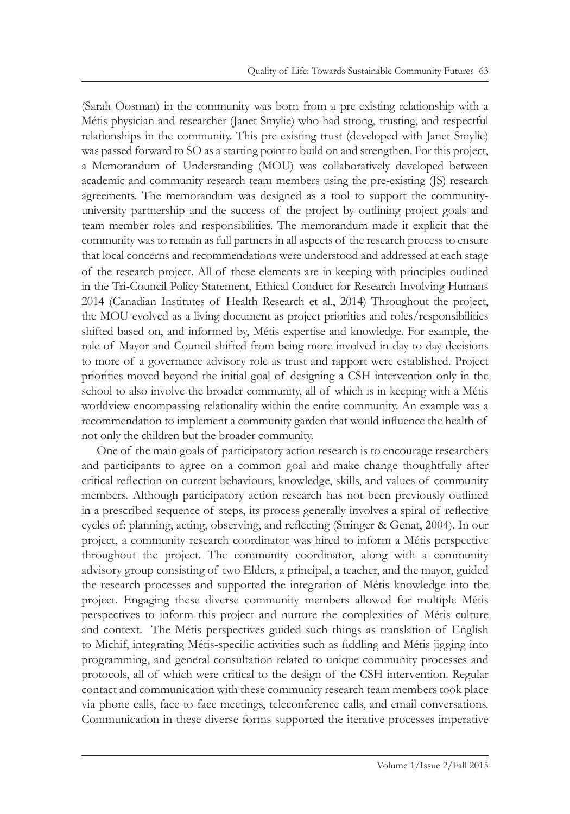(Sarah Oosman) in the community was born from a pre-existing relationship with a Métis physician and researcher (Janet Smylie) who had strong, trusting, and respectful relationships in the community. This pre-existing trust (developed with Janet Smylie) was passed forward to SO as a starting point to build on and strengthen. For this project, a Memorandum of Understanding (MOU) was collaboratively developed between academic and community research team members using the pre-existing (JS) research agreements. The memorandum was designed as a tool to support the communityuniversity partnership and the success of the project by outlining project goals and team member roles and responsibilities. The memorandum made it explicit that the community was to remain as full partners in all aspects of the research process to ensure that local concerns and recommendations were understood and addressed at each stage of the research project. All of these elements are in keeping with principles outlined in the Tri-Council Policy Statement, Ethical Conduct for Research Involving Humans 2014 (Canadian Institutes of Health Research et al., 2014) Throughout the project, the MOU evolved as a living document as project priorities and roles/responsibilities shifted based on, and informed by, Métis expertise and knowledge. For example, the role of Mayor and Council shifted from being more involved in day-to-day decisions to more of a governance advisory role as trust and rapport were established. Project priorities moved beyond the initial goal of designing a CSH intervention only in the school to also involve the broader community, all of which is in keeping with a Métis worldview encompassing relationality within the entire community. An example was a recommendation to implement a community garden that would influence the health of not only the children but the broader community.

One of the main goals of participatory action research is to encourage researchers and participants to agree on a common goal and make change thoughtfully after critical reflection on current behaviours, knowledge, skills, and values of community members. Although participatory action research has not been previously outlined in a prescribed sequence of steps, its process generally involves a spiral of reflective cycles of: planning, acting, observing, and reflecting (Stringer & Genat, 2004). In our project, a community research coordinator was hired to inform a Métis perspective throughout the project. The community coordinator, along with a community advisory group consisting of two Elders, a principal, a teacher, and the mayor, guided the research processes and supported the integration of Métis knowledge into the project. Engaging these diverse community members allowed for multiple Métis perspectives to inform this project and nurture the complexities of Métis culture and context. The Métis perspectives guided such things as translation of English to Michif, integrating Métis-specific activities such as fiddling and Métis jigging into programming, and general consultation related to unique community processes and protocols, all of which were critical to the design of the CSH intervention. Regular contact and communication with these community research team members took place via phone calls, face-to-face meetings, teleconference calls, and email conversations. Communication in these diverse forms supported the iterative processes imperative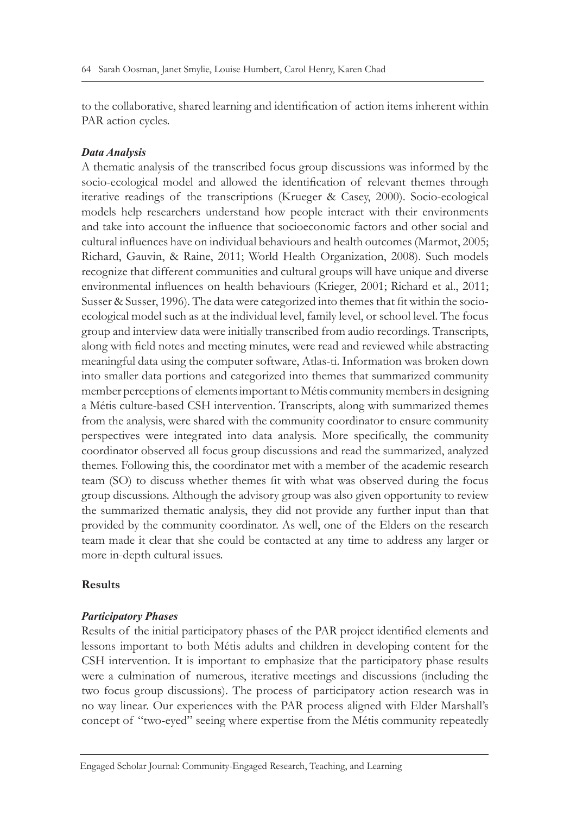to the collaborative, shared learning and identification of action items inherent within PAR action cycles.

#### *Data Analysis*

A thematic analysis of the transcribed focus group discussions was informed by the socio-ecological model and allowed the identification of relevant themes through iterative readings of the transcriptions (Krueger & Casey, 2000). Socio-ecological models help researchers understand how people interact with their environments and take into account the influence that socioeconomic factors and other social and cultural influences have on individual behaviours and health outcomes (Marmot, 2005; Richard, Gauvin, & Raine, 2011; World Health Organization, 2008). Such models recognize that different communities and cultural groups will have unique and diverse environmental influences on health behaviours (Krieger, 2001; Richard et al., 2011; Susser & Susser, 1996). The data were categorized into themes that fit within the socioecological model such as at the individual level, family level, or school level. The focus group and interview data were initially transcribed from audio recordings. Transcripts, along with field notes and meeting minutes, were read and reviewed while abstracting meaningful data using the computer software, Atlas-ti. Information was broken down into smaller data portions and categorized into themes that summarized community member perceptions of elements important to Métis community members in designing a Métis culture-based CSH intervention. Transcripts, along with summarized themes from the analysis, were shared with the community coordinator to ensure community perspectives were integrated into data analysis. More specifically, the community coordinator observed all focus group discussions and read the summarized, analyzed themes. Following this, the coordinator met with a member of the academic research team (SO) to discuss whether themes fit with what was observed during the focus group discussions. Although the advisory group was also given opportunity to review the summarized thematic analysis, they did not provide any further input than that provided by the community coordinator. As well, one of the Elders on the research team made it clear that she could be contacted at any time to address any larger or more in-depth cultural issues.

# **Results**

#### *Participatory Phases*

Results of the initial participatory phases of the PAR project identified elements and lessons important to both Métis adults and children in developing content for the CSH intervention. It is important to emphasize that the participatory phase results were a culmination of numerous, iterative meetings and discussions (including the two focus group discussions). The process of participatory action research was in no way linear. Our experiences with the PAR process aligned with Elder Marshall's concept of "two-eyed" seeing where expertise from the Métis community repeatedly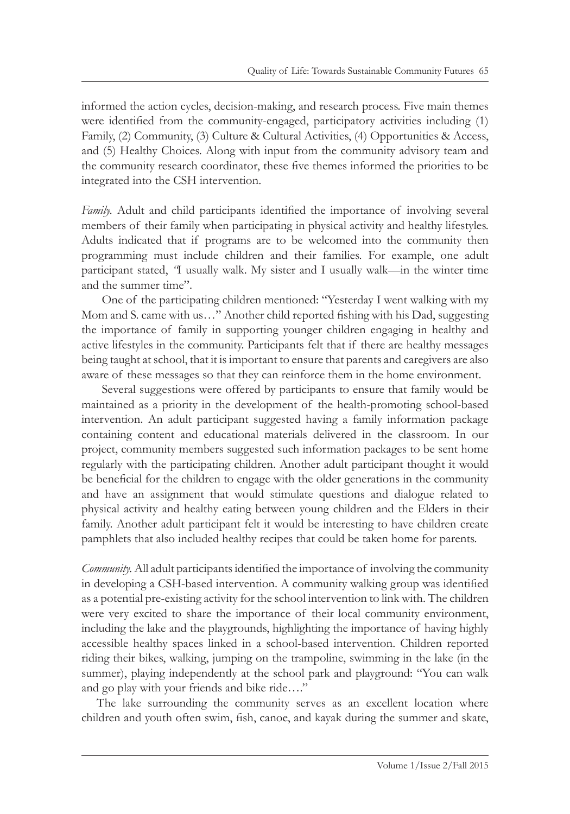informed the action cycles, decision-making, and research process. Five main themes were identified from the community-engaged, participatory activities including (1) Family, (2) Community, (3) Culture & Cultural Activities, (4) Opportunities & Access, and (5) Healthy Choices. Along with input from the community advisory team and the community research coordinator, these five themes informed the priorities to be integrated into the CSH intervention.

*Family.* Adult and child participants identified the importance of involving several members of their family when participating in physical activity and healthy lifestyles. Adults indicated that if programs are to be welcomed into the community then programming must include children and their families. For example, one adult participant stated, *"*I usually walk. My sister and I usually walk—in the winter time and the summer time".

One of the participating children mentioned: "Yesterday I went walking with my Mom and S. came with us…" Another child reported fishing with his Dad, suggesting the importance of family in supporting younger children engaging in healthy and active lifestyles in the community. Participants felt that if there are healthy messages being taught at school, that it is important to ensure that parents and caregivers are also aware of these messages so that they can reinforce them in the home environment.

Several suggestions were offered by participants to ensure that family would be maintained as a priority in the development of the health-promoting school-based intervention. An adult participant suggested having a family information package containing content and educational materials delivered in the classroom. In our project, community members suggested such information packages to be sent home regularly with the participating children. Another adult participant thought it would be beneficial for the children to engage with the older generations in the community and have an assignment that would stimulate questions and dialogue related to physical activity and healthy eating between young children and the Elders in their family. Another adult participant felt it would be interesting to have children create pamphlets that also included healthy recipes that could be taken home for parents.

*Community.* All adult participants identified the importance of involving the community in developing a CSH-based intervention. A community walking group was identified as a potential pre-existing activity for the school intervention to link with. The children were very excited to share the importance of their local community environment, including the lake and the playgrounds, highlighting the importance of having highly accessible healthy spaces linked in a school-based intervention. Children reported riding their bikes, walking, jumping on the trampoline, swimming in the lake (in the summer), playing independently at the school park and playground: "You can walk and go play with your friends and bike ride…."

The lake surrounding the community serves as an excellent location where children and youth often swim, fish, canoe, and kayak during the summer and skate,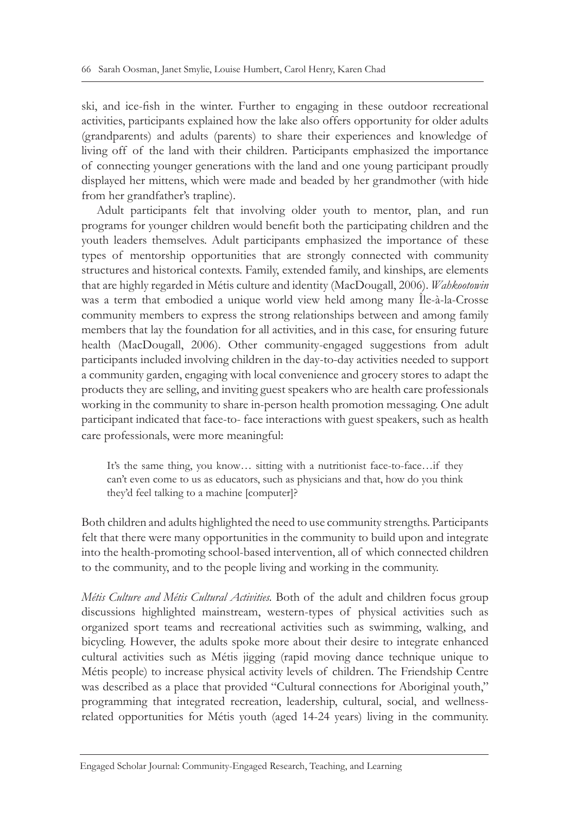ski, and ice-fish in the winter. Further to engaging in these outdoor recreational activities, participants explained how the lake also offers opportunity for older adults (grandparents) and adults (parents) to share their experiences and knowledge of living off of the land with their children. Participants emphasized the importance of connecting younger generations with the land and one young participant proudly displayed her mittens, which were made and beaded by her grandmother (with hide from her grandfather's trapline).

Adult participants felt that involving older youth to mentor, plan, and run programs for younger children would benefit both the participating children and the youth leaders themselves. Adult participants emphasized the importance of these types of mentorship opportunities that are strongly connected with community structures and historical contexts. Family, extended family, and kinships, are elements that are highly regarded in Métis culture and identity (MacDougall, 2006). *Wahkootowin* was a term that embodied a unique world view held among many Île-à-la-Crosse community members to express the strong relationships between and among family members that lay the foundation for all activities, and in this case, for ensuring future health (MacDougall, 2006). Other community-engaged suggestions from adult participants included involving children in the day-to-day activities needed to support a community garden, engaging with local convenience and grocery stores to adapt the products they are selling, and inviting guest speakers who are health care professionals working in the community to share in-person health promotion messaging. One adult participant indicated that face-to- face interactions with guest speakers, such as health care professionals, were more meaningful:

It's the same thing, you know… sitting with a nutritionist face-to-face…if they can't even come to us as educators, such as physicians and that, how do you think they'd feel talking to a machine [computer]?

Both children and adults highlighted the need to use community strengths. Participants felt that there were many opportunities in the community to build upon and integrate into the health-promoting school-based intervention, all of which connected children to the community, and to the people living and working in the community.

*Métis Culture and Métis Cultural Activities.* Both of the adult and children focus group discussions highlighted mainstream, western-types of physical activities such as organized sport teams and recreational activities such as swimming, walking, and bicycling. However, the adults spoke more about their desire to integrate enhanced cultural activities such as Métis jigging (rapid moving dance technique unique to Métis people) to increase physical activity levels of children. The Friendship Centre was described as a place that provided "Cultural connections for Aboriginal youth," programming that integrated recreation, leadership, cultural, social, and wellnessrelated opportunities for Métis youth (aged 14-24 years) living in the community.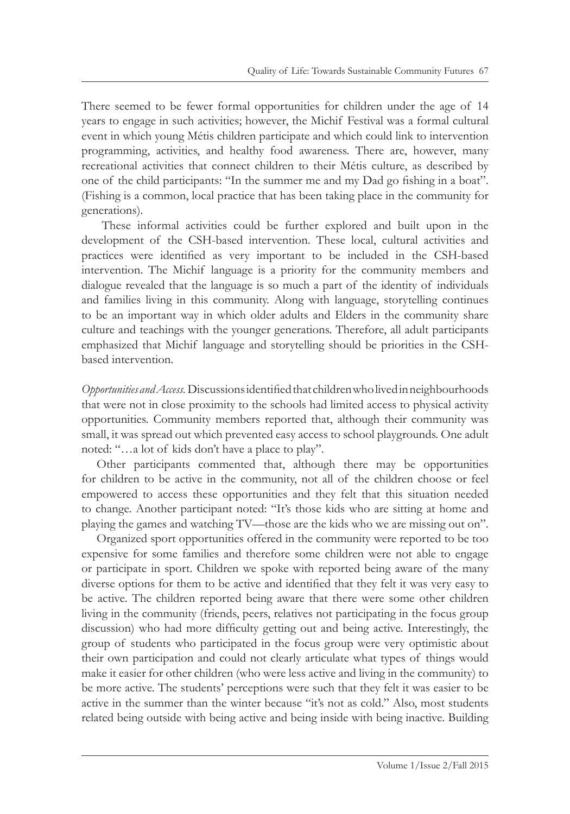There seemed to be fewer formal opportunities for children under the age of 14 years to engage in such activities; however, the Michif Festival was a formal cultural event in which young Métis children participate and which could link to intervention programming, activities, and healthy food awareness. There are, however, many recreational activities that connect children to their Métis culture, as described by one of the child participants: "In the summer me and my Dad go fishing in a boat". (Fishing is a common, local practice that has been taking place in the community for generations).

These informal activities could be further explored and built upon in the development of the CSH-based intervention. These local, cultural activities and practices were identified as very important to be included in the CSH-based intervention. The Michif language is a priority for the community members and dialogue revealed that the language is so much a part of the identity of individuals and families living in this community. Along with language, storytelling continues to be an important way in which older adults and Elders in the community share culture and teachings with the younger generations. Therefore, all adult participants emphasized that Michif language and storytelling should be priorities in the CSHbased intervention.

*Opportunities and Access.* Discussions identified that children who lived in neighbourhoods that were not in close proximity to the schools had limited access to physical activity opportunities. Community members reported that, although their community was small, it was spread out which prevented easy access to school playgrounds. One adult noted: "…a lot of kids don't have a place to play".

Other participants commented that, although there may be opportunities for children to be active in the community, not all of the children choose or feel empowered to access these opportunities and they felt that this situation needed to change. Another participant noted: "It's those kids who are sitting at home and playing the games and watching TV—those are the kids who we are missing out on".

Organized sport opportunities offered in the community were reported to be too expensive for some families and therefore some children were not able to engage or participate in sport. Children we spoke with reported being aware of the many diverse options for them to be active and identified that they felt it was very easy to be active. The children reported being aware that there were some other children living in the community (friends, peers, relatives not participating in the focus group discussion) who had more difficulty getting out and being active. Interestingly, the group of students who participated in the focus group were very optimistic about their own participation and could not clearly articulate what types of things would make it easier for other children (who were less active and living in the community) to be more active. The students' perceptions were such that they felt it was easier to be active in the summer than the winter because "it's not as cold." Also, most students related being outside with being active and being inside with being inactive. Building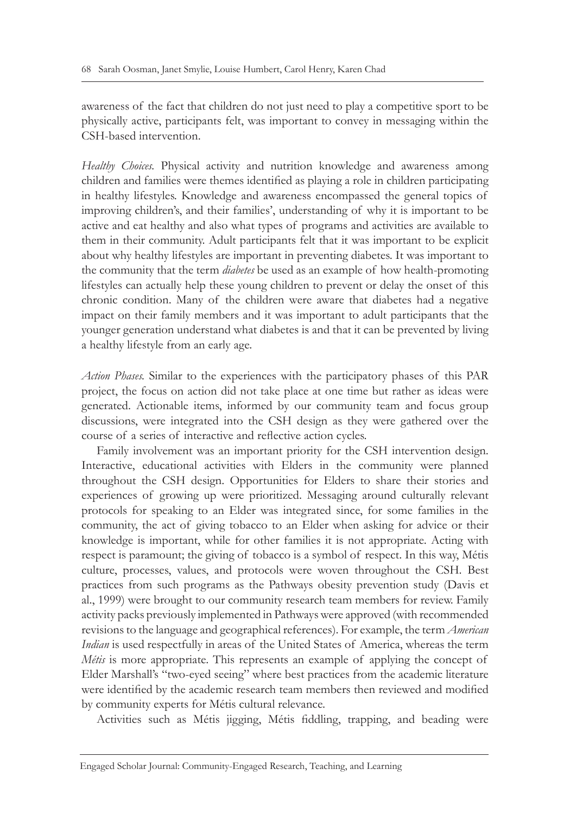awareness of the fact that children do not just need to play a competitive sport to be physically active, participants felt, was important to convey in messaging within the CSH-based intervention.

*Healthy Choices.* Physical activity and nutrition knowledge and awareness among children and families were themes identified as playing a role in children participating in healthy lifestyles. Knowledge and awareness encompassed the general topics of improving children's, and their families', understanding of why it is important to be active and eat healthy and also what types of programs and activities are available to them in their community. Adult participants felt that it was important to be explicit about why healthy lifestyles are important in preventing diabetes. It was important to the community that the term *diabetes* be used as an example of how health-promoting lifestyles can actually help these young children to prevent or delay the onset of this chronic condition. Many of the children were aware that diabetes had a negative impact on their family members and it was important to adult participants that the younger generation understand what diabetes is and that it can be prevented by living a healthy lifestyle from an early age.

*Action Phases.* Similar to the experiences with the participatory phases of this PAR project, the focus on action did not take place at one time but rather as ideas were generated. Actionable items, informed by our community team and focus group discussions, were integrated into the CSH design as they were gathered over the course of a series of interactive and reflective action cycles.

Family involvement was an important priority for the CSH intervention design. Interactive, educational activities with Elders in the community were planned throughout the CSH design. Opportunities for Elders to share their stories and experiences of growing up were prioritized. Messaging around culturally relevant protocols for speaking to an Elder was integrated since, for some families in the community, the act of giving tobacco to an Elder when asking for advice or their knowledge is important, while for other families it is not appropriate. Acting with respect is paramount; the giving of tobacco is a symbol of respect. In this way, Métis culture, processes, values, and protocols were woven throughout the CSH. Best practices from such programs as the Pathways obesity prevention study (Davis et al., 1999) were brought to our community research team members for review. Family activity packs previously implemented in Pathways were approved (with recommended revisions to the language and geographical references). For example, the term *American Indian* is used respectfully in areas of the United States of America, whereas the term *Métis* is more appropriate. This represents an example of applying the concept of Elder Marshall's "two-eyed seeing" where best practices from the academic literature were identified by the academic research team members then reviewed and modified by community experts for Métis cultural relevance.

Activities such as Métis jigging, Métis fiddling, trapping, and beading were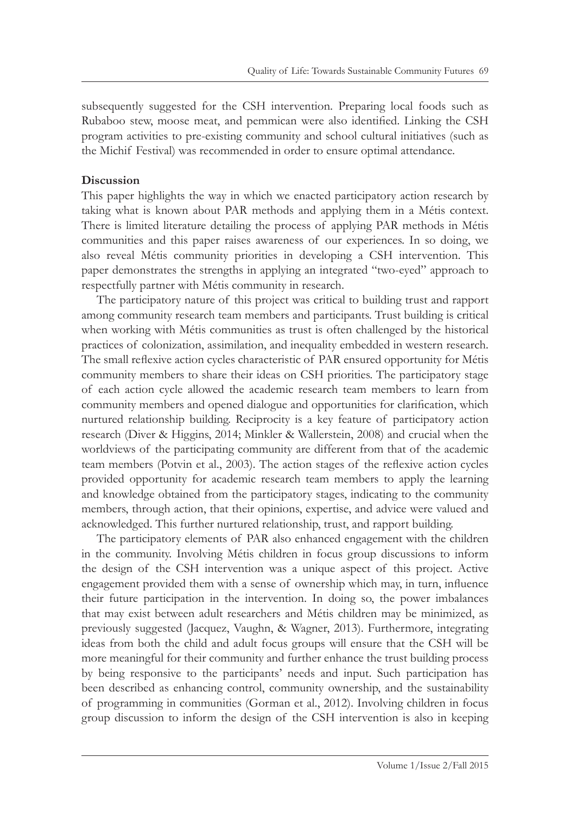subsequently suggested for the CSH intervention. Preparing local foods such as Rubaboo stew, moose meat, and pemmican were also identified. Linking the CSH program activities to pre-existing community and school cultural initiatives (such as the Michif Festival) was recommended in order to ensure optimal attendance.

### **Discussion**

This paper highlights the way in which we enacted participatory action research by taking what is known about PAR methods and applying them in a Métis context. There is limited literature detailing the process of applying PAR methods in Métis communities and this paper raises awareness of our experiences. In so doing, we also reveal Métis community priorities in developing a CSH intervention. This paper demonstrates the strengths in applying an integrated "two-eyed" approach to respectfully partner with Métis community in research.

The participatory nature of this project was critical to building trust and rapport among community research team members and participants. Trust building is critical when working with Métis communities as trust is often challenged by the historical practices of colonization, assimilation, and inequality embedded in western research. The small reflexive action cycles characteristic of PAR ensured opportunity for Métis community members to share their ideas on CSH priorities. The participatory stage of each action cycle allowed the academic research team members to learn from community members and opened dialogue and opportunities for clarification, which nurtured relationship building. Reciprocity is a key feature of participatory action research (Diver & Higgins, 2014; Minkler & Wallerstein, 2008) and crucial when the worldviews of the participating community are different from that of the academic team members (Potvin et al., 2003). The action stages of the reflexive action cycles provided opportunity for academic research team members to apply the learning and knowledge obtained from the participatory stages, indicating to the community members, through action, that their opinions, expertise, and advice were valued and acknowledged. This further nurtured relationship, trust, and rapport building.

The participatory elements of PAR also enhanced engagement with the children in the community. Involving Métis children in focus group discussions to inform the design of the CSH intervention was a unique aspect of this project. Active engagement provided them with a sense of ownership which may, in turn, influence their future participation in the intervention. In doing so, the power imbalances that may exist between adult researchers and Métis children may be minimized, as previously suggested (Jacquez, Vaughn, & Wagner, 2013). Furthermore, integrating ideas from both the child and adult focus groups will ensure that the CSH will be more meaningful for their community and further enhance the trust building process by being responsive to the participants' needs and input. Such participation has been described as enhancing control, community ownership, and the sustainability of programming in communities (Gorman et al., 2012). Involving children in focus group discussion to inform the design of the CSH intervention is also in keeping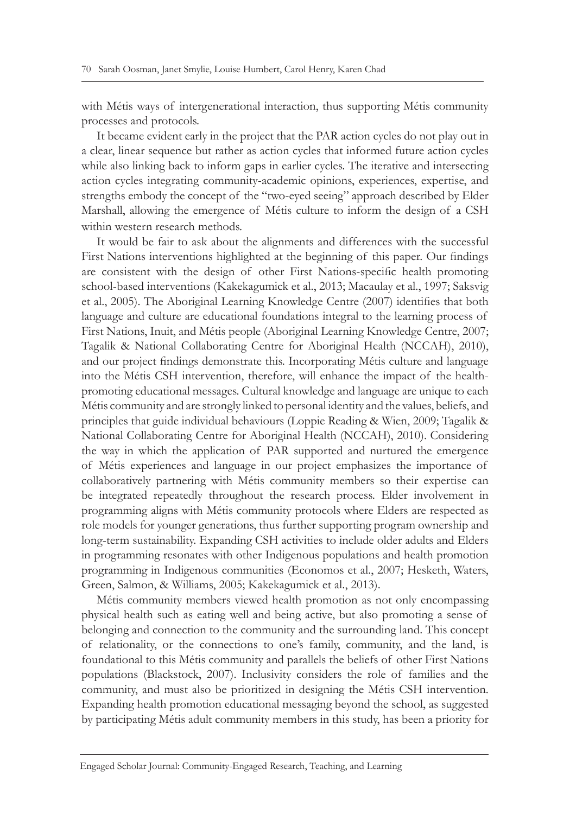with Métis ways of intergenerational interaction, thus supporting Métis community processes and protocols.

It became evident early in the project that the PAR action cycles do not play out in a clear, linear sequence but rather as action cycles that informed future action cycles while also linking back to inform gaps in earlier cycles. The iterative and intersecting action cycles integrating community-academic opinions, experiences, expertise, and strengths embody the concept of the "two-eyed seeing" approach described by Elder Marshall, allowing the emergence of Métis culture to inform the design of a CSH within western research methods.

It would be fair to ask about the alignments and differences with the successful First Nations interventions highlighted at the beginning of this paper. Our findings are consistent with the design of other First Nations-specific health promoting school-based interventions (Kakekagumick et al., 2013; Macaulay et al., 1997; Saksvig et al., 2005). The Aboriginal Learning Knowledge Centre (2007) identifies that both language and culture are educational foundations integral to the learning process of First Nations, Inuit, and Métis people (Aboriginal Learning Knowledge Centre, 2007; Tagalik & National Collaborating Centre for Aboriginal Health (NCCAH), 2010), and our project findings demonstrate this. Incorporating Métis culture and language into the Métis CSH intervention, therefore, will enhance the impact of the healthpromoting educational messages. Cultural knowledge and language are unique to each Métis community and are strongly linked to personal identity and the values, beliefs, and principles that guide individual behaviours (Loppie Reading & Wien, 2009; Tagalik & National Collaborating Centre for Aboriginal Health (NCCAH), 2010). Considering the way in which the application of PAR supported and nurtured the emergence of Métis experiences and language in our project emphasizes the importance of collaboratively partnering with Métis community members so their expertise can be integrated repeatedly throughout the research process. Elder involvement in programming aligns with Métis community protocols where Elders are respected as role models for younger generations, thus further supporting program ownership and long-term sustainability. Expanding CSH activities to include older adults and Elders in programming resonates with other Indigenous populations and health promotion programming in Indigenous communities (Economos et al., 2007; Hesketh, Waters, Green, Salmon, & Williams, 2005; Kakekagumick et al., 2013).

Métis community members viewed health promotion as not only encompassing physical health such as eating well and being active, but also promoting a sense of belonging and connection to the community and the surrounding land. This concept of relationality, or the connections to one's family, community, and the land, is foundational to this Métis community and parallels the beliefs of other First Nations populations (Blackstock, 2007). Inclusivity considers the role of families and the community, and must also be prioritized in designing the Métis CSH intervention. Expanding health promotion educational messaging beyond the school, as suggested by participating Métis adult community members in this study, has been a priority for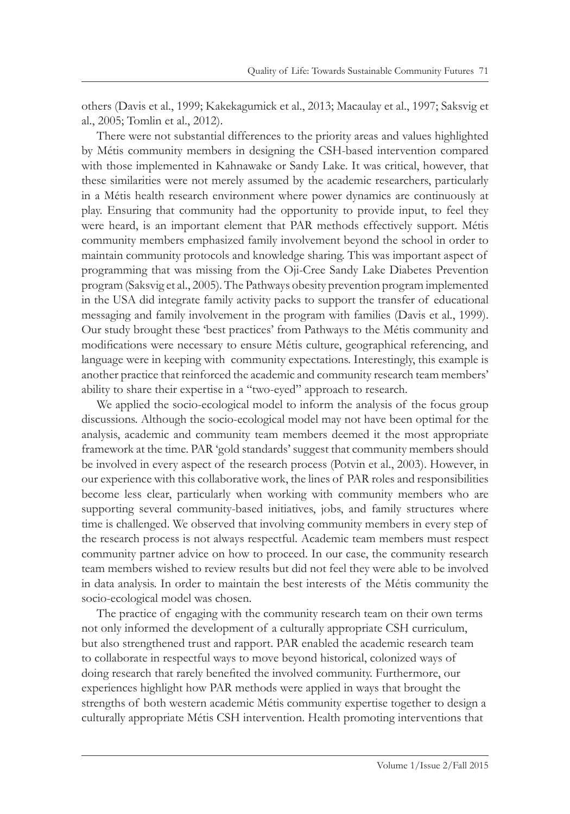others (Davis et al., 1999; Kakekagumick et al., 2013; Macaulay et al., 1997; Saksvig et al., 2005; Tomlin et al., 2012).

There were not substantial differences to the priority areas and values highlighted by Métis community members in designing the CSH-based intervention compared with those implemented in Kahnawake or Sandy Lake. It was critical, however, that these similarities were not merely assumed by the academic researchers, particularly in a Métis health research environment where power dynamics are continuously at play. Ensuring that community had the opportunity to provide input, to feel they were heard, is an important element that PAR methods effectively support. Métis community members emphasized family involvement beyond the school in order to maintain community protocols and knowledge sharing. This was important aspect of programming that was missing from the Oji-Cree Sandy Lake Diabetes Prevention program (Saksvig et al., 2005). The Pathways obesity prevention program implemented in the USA did integrate family activity packs to support the transfer of educational messaging and family involvement in the program with families (Davis et al., 1999). Our study brought these 'best practices' from Pathways to the Métis community and modifications were necessary to ensure Métis culture, geographical referencing, and language were in keeping with community expectations. Interestingly, this example is another practice that reinforced the academic and community research team members' ability to share their expertise in a "two-eyed" approach to research.

We applied the socio-ecological model to inform the analysis of the focus group discussions. Although the socio-ecological model may not have been optimal for the analysis, academic and community team members deemed it the most appropriate framework at the time. PAR 'gold standards' suggest that community members should be involved in every aspect of the research process (Potvin et al., 2003). However, in our experience with this collaborative work, the lines of PAR roles and responsibilities become less clear, particularly when working with community members who are supporting several community-based initiatives, jobs, and family structures where time is challenged. We observed that involving community members in every step of the research process is not always respectful. Academic team members must respect community partner advice on how to proceed. In our case, the community research team members wished to review results but did not feel they were able to be involved in data analysis. In order to maintain the best interests of the Métis community the socio-ecological model was chosen.

The practice of engaging with the community research team on their own terms not only informed the development of a culturally appropriate CSH curriculum, but also strengthened trust and rapport. PAR enabled the academic research team to collaborate in respectful ways to move beyond historical, colonized ways of doing research that rarely benefited the involved community. Furthermore, our experiences highlight how PAR methods were applied in ways that brought the strengths of both western academic Métis community expertise together to design a culturally appropriate Métis CSH intervention. Health promoting interventions that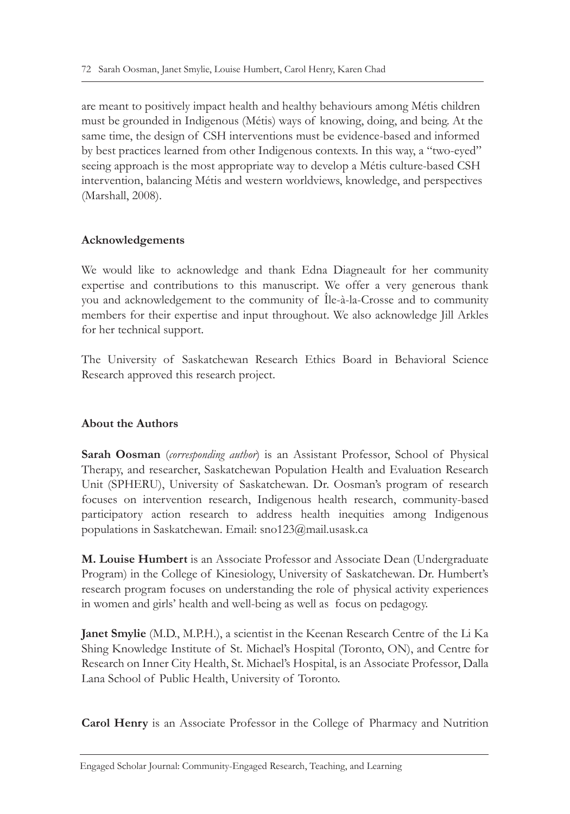are meant to positively impact health and healthy behaviours among Métis children must be grounded in Indigenous (Métis) ways of knowing, doing, and being. At the same time, the design of CSH interventions must be evidence-based and informed by best practices learned from other Indigenous contexts. In this way, a "two-eyed" seeing approach is the most appropriate way to develop a Métis culture-based CSH intervention, balancing Métis and western worldviews, knowledge, and perspectives (Marshall, 2008).

# **Acknowledgements**

We would like to acknowledge and thank Edna Diagneault for her community expertise and contributions to this manuscript. We offer a very generous thank you and acknowledgement to the community of Île-à-la-Crosse and to community members for their expertise and input throughout. We also acknowledge Jill Arkles for her technical support.

The University of Saskatchewan Research Ethics Board in Behavioral Science Research approved this research project.

# **About the Authors**

**Sarah Oosman** (*corresponding author*) is an Assistant Professor, School of Physical Therapy, and researcher, Saskatchewan Population Health and Evaluation Research Unit (SPHERU), University of Saskatchewan. Dr. Oosman's program of research focuses on intervention research, Indigenous health research, community-based participatory action research to address health inequities among Indigenous populations in Saskatchewan. Email: sno123@mail.usask.ca

**M. Louise Humbert** is an Associate Professor and Associate Dean (Undergraduate Program) in the College of Kinesiology, University of Saskatchewan. Dr. Humbert's research program focuses on understanding the role of physical activity experiences in women and girls' health and well-being as well as focus on pedagogy.

**Janet Smylie** (M.D., M.P.H.), a scientist in the Keenan Research Centre of the Li Ka Shing Knowledge Institute of St. Michael's Hospital (Toronto, ON), and Centre for Research on Inner City Health, St. Michael's Hospital, is an Associate Professor, Dalla Lana School of Public Health, University of Toronto.

**Carol Henry** is an Associate Professor in the College of Pharmacy and Nutrition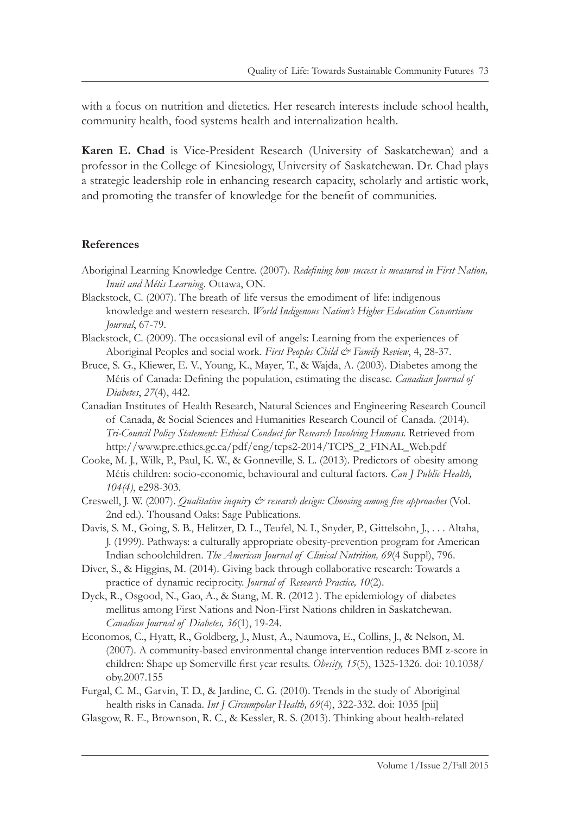with a focus on nutrition and dietetics. Her research interests include school health, community health, food systems health and internalization health.

**Karen E. Chad** is Vice-President Research (University of Saskatchewan) and a professor in the College of Kinesiology, University of Saskatchewan. Dr. Chad plays a strategic leadership role in enhancing research capacity, scholarly and artistic work, and promoting the transfer of knowledge for the benefit of communities.

# **References**

- Aboriginal Learning Knowledge Centre. (2007). *Redefining how success is measured in First Nation, Inuit and Métis Learning.* Ottawa, ON.
- Blackstock, C. (2007). The breath of life versus the emodiment of life: indigenous knowledge and western research. *World Indigenous Nation's Higher Education Consortium Journal*, 67-79.
- Blackstock, C. (2009). The occasional evil of angels: Learning from the experiences of Aboriginal Peoples and social work. *First Peoples Child & Family Review*, 4, 28-37.
- Bruce, S. G., Kliewer, E. V., Young, K., Mayer, T., & Wajda, A. (2003). Diabetes among the Métis of Canada: Defining the population, estimating the disease. *Canadian Journal of Diabetes*, *27*(4), 442.
- Canadian Institutes of Health Research, Natural Sciences and Engineering Research Council of Canada, & Social Sciences and Humanities Research Council of Canada. (2014). *Tri-Council Policy Statement: Ethical Conduct for Research Involving Humans.* Retrieved from http://www.pre.ethics.gc.ca/pdf/eng/tcps2-2014/TCPS\_2\_FINAL\_Web.pdf
- Cooke, M. J., Wilk, P., Paul, K. W., & Gonneville, S. L. (2013). Predictors of obesity among Métis children: socio-economic, behavioural and cultural factors. *Can J Public Health, 104(4)*, e298-303.
- Creswell, J. W. (2007). *Qualitative inquiry*  $\dot{\mathcal{O}}$  *research design: Choosing among five approaches* (Vol. 2nd ed.). Thousand Oaks: Sage Publications.
- Davis, S. M., Going, S. B., Helitzer, D. L., Teufel, N. I., Snyder, P., Gittelsohn, J., . . . Altaha, J. (1999). Pathways: a culturally appropriate obesity-prevention program for American Indian schoolchildren. *The American Journal of Clinical Nutrition, 69*(4 Suppl), 796.
- Diver, S., & Higgins, M. (2014). Giving back through collaborative research: Towards a practice of dynamic reciprocity. *Journal of Research Practice, 10*(2).
- Dyck, R., Osgood, N., Gao, A., & Stang, M. R. (2012 ). The epidemiology of diabetes mellitus among First Nations and Non-First Nations children in Saskatchewan. *Canadian Journal of Diabetes, 36*(1), 19-24.
- Economos, C., Hyatt, R., Goldberg, J., Must, A., Naumova, E., Collins, J., & Nelson, M. (2007). A community-based environmental change intervention reduces BMI z-score in children: Shape up Somerville first year results. *Obesity, 15*(5), 1325-1326. doi: 10.1038/ oby.2007.155
- Furgal, C. M., Garvin, T. D., & Jardine, C. G. (2010). Trends in the study of Aboriginal health risks in Canada. *Int J Circumpolar Health, 69*(4), 322-332. doi: 1035 [pii]
- Glasgow, R. E., Brownson, R. C., & Kessler, R. S. (2013). Thinking about health-related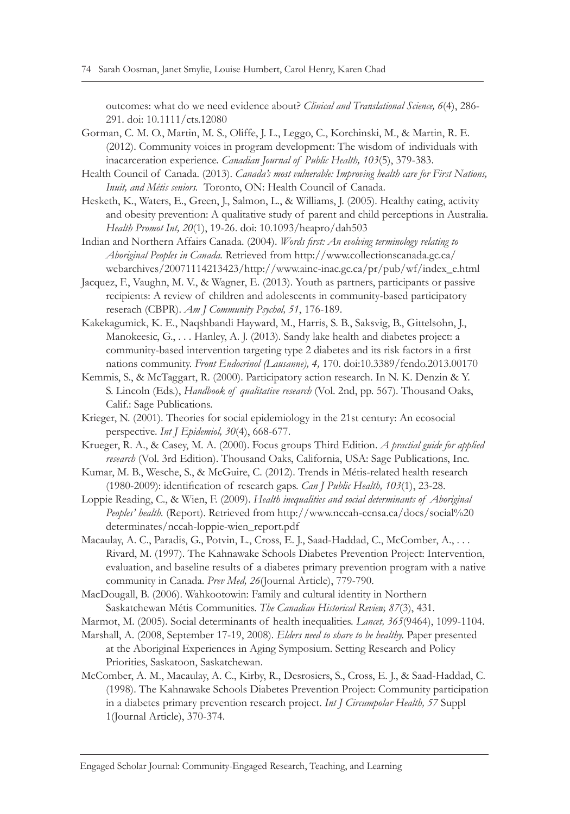outcomes: what do we need evidence about? *Clinical and Translational Science, 6*(4), 286- 291. doi: 10.1111/cts.12080

- Gorman, C. M. O., Martin, M. S., Oliffe, J. L., Leggo, C., Korchinski, M., & Martin, R. E. (2012). Community voices in program development: The wisdom of individuals with inacarceration experience. *Canadian Journal of Public Health, 103*(5), 379-383.
- Health Council of Canada. (2013). *Canada's most vulnerable: Improving health care for First Nations, Inuit, and Métis seniors.* Toronto, ON: Health Council of Canada.
- Hesketh, K., Waters, E., Green, J., Salmon, L., & Williams, J. (2005). Healthy eating, activity and obesity prevention: A qualitative study of parent and child perceptions in Australia. *Health Promot Int, 20*(1), 19-26. doi: 10.1093/heapro/dah503
- Indian and Northern Affairs Canada. (2004). *Words first: An evolving terminology relating to Aboriginal Peoples in Canada.* Retrieved from http://www.collectionscanada.gc.ca/ webarchives/20071114213423/http://www.ainc-inac.gc.ca/pr/pub/wf/index\_e.html
- Jacquez, F., Vaughn, M. V., & Wagner, E. (2013). Youth as partners, participants or passive recipients: A review of children and adolescents in community-based participatory reserach (CBPR). *Am J Community Psychol, 51*, 176-189.
- Kakekagumick, K. E., Naqshbandi Hayward, M., Harris, S. B., Saksvig, B., Gittelsohn, J., Manokeesic, G., . . . Hanley, A. J. (2013). Sandy lake health and diabetes project: a community-based intervention targeting type 2 diabetes and its risk factors in a first nations community. *Front Endocrinol (Lausanne), 4,* 170. doi:10.3389/fendo.2013.00170
- Kemmis, S., & McTaggart, R. (2000). Participatory action research. In N. K. Denzin & Y. S. Lincoln (Eds.), *Handbook of qualitative research* (Vol. 2nd, pp. 567). Thousand Oaks, Calif.: Sage Publications.
- Krieger, N. (2001). Theories for social epidemiology in the 21st century: An ecosocial perspective. *Int J Epidemiol, 30*(4), 668-677.
- Krueger, R. A., & Casey, M. A. (2000). Focus groups Third Edition. *A practial guide for applied research* (Vol. 3rd Edition). Thousand Oaks, California, USA: Sage Publications, Inc.
- Kumar, M. B., Wesche, S., & McGuire, C. (2012). Trends in Métis-related health research (1980-2009): identification of research gaps. *Can J Public Health, 103*(1), 23-28.
- Loppie Reading, C., & Wien, F. (2009). *Health inequalities and social determinants of Aboriginal*  Peoples' health. (Report). Retrieved from http://www.nccah-ccnsa.ca/docs/social%20 determinates/nccah-loppie-wien\_report.pdf
- Macaulay, A. C., Paradis, G., Potvin, L., Cross, E. J., Saad-Haddad, C., McComber, A., . . . Rivard, M. (1997). The Kahnawake Schools Diabetes Prevention Project: Intervention, evaluation, and baseline results of a diabetes primary prevention program with a native community in Canada. *Prev Med, 26*(Journal Article), 779-790.
- MacDougall, B. (2006). Wahkootowin: Family and cultural identity in Northern Saskatchewan Métis Communities. *The Canadian Historical Review, 87*(3), 431.
- Marmot, M. (2005). Social determinants of health inequalities. *Lancet, 365*(9464), 1099-1104.
- Marshall, A. (2008, September 17-19, 2008). *Elders need to share to be healthy.* Paper presented at the Aboriginal Experiences in Aging Symposium. Setting Research and Policy Priorities, Saskatoon, Saskatchewan.
- McComber, A. M., Macaulay, A. C., Kirby, R., Desrosiers, S., Cross, E. J., & Saad-Haddad, C. (1998). The Kahnawake Schools Diabetes Prevention Project: Community participation in a diabetes primary prevention research project. *Int J Circumpolar Health, 57* Suppl 1(Journal Article), 370-374.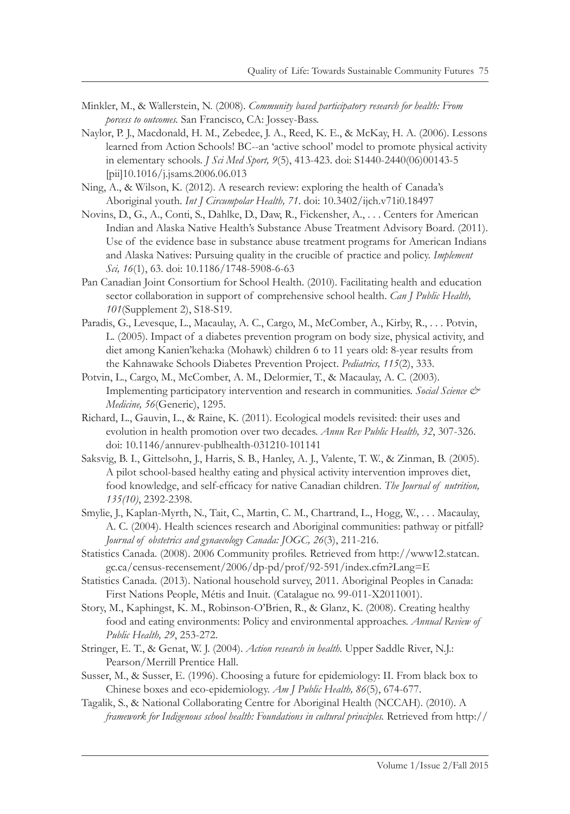- Minkler, M., & Wallerstein, N. (2008). *Community based participatory research for health: From porcess to outcomes.* San Francisco, CA: Jossey-Bass.
- Naylor, P. J., Macdonald, H. M., Zebedee, J. A., Reed, K. E., & McKay, H. A. (2006). Lessons learned from Action Schools! BC--an 'active school' model to promote physical activity in elementary schools. *J Sci Med Sport, 9*(5), 413-423. doi: S1440-2440(06)00143-5 [pii]10.1016/j.jsams.2006.06.013
- Ning, A., & Wilson, K. (2012). A research review: exploring the health of Canada's Aboriginal youth. *Int J Circumpolar Health, 71*. doi: 10.3402/ijch.v71i0.18497
- Novins, D., G., A., Conti, S., Dahlke, D., Daw, R., Fickensher, A., . . . Centers for American Indian and Alaska Native Health's Substance Abuse Treatment Advisory Board. (2011). Use of the evidence base in substance abuse treatment programs for American Indians and Alaska Natives: Pursuing quality in the crucible of practice and policy. *Implement Sci, 16*(1), 63. doi: 10.1186/1748-5908-6-63
- Pan Canadian Joint Consortium for School Health. (2010). Facilitating health and education sector collaboration in support of comprehensive school health. *Can J Public Health, 101*(Supplement 2), S18-S19.
- Paradis, G., Levesque, L., Macaulay, A. C., Cargo, M., McComber, A., Kirby, R., . . . Potvin, L. (2005). Impact of a diabetes prevention program on body size, physical activity, and diet among Kanien'keha:ka (Mohawk) children 6 to 11 years old: 8-year results from the Kahnawake Schools Diabetes Prevention Project. *Pediatrics, 115*(2), 333.
- Potvin, L., Cargo, M., McComber, A. M., Delormier, T., & Macaulay, A. C. (2003). Implementing participatory intervention and research in communities. *Social Science & Medicine, 56*(Generic), 1295.
- Richard, L., Gauvin, L., & Raine, K. (2011). Ecological models revisited: their uses and evolution in health promotion over two decades. *Annu Rev Public Health, 32*, 307-326. doi: 10.1146/annurev-publhealth-031210-101141
- Saksvig, B. I., Gittelsohn, J., Harris, S. B., Hanley, A. J., Valente, T. W., & Zinman, B. (2005). A pilot school-based healthy eating and physical activity intervention improves diet, food knowledge, and self-efficacy for native Canadian children. *The Journal of nutrition, 135(10)*, 2392-2398.
- Smylie, J., Kaplan-Myrth, N., Tait, C., Martin, C. M., Chartrand, L., Hogg, W., . . . Macaulay, A. C. (2004). Health sciences research and Aboriginal communities: pathway or pitfall? *Journal of obstetrics and gynaecology Canada: JOGC, 26*(3), 211-216.
- Statistics Canada. (2008). 2006 Community profiles. Retrieved from http://www12.statcan. gc.ca/census-recensement/2006/dp-pd/prof/92-591/index.cfm?Lang=E
- Statistics Canada. (2013). National household survey, 2011. Aboriginal Peoples in Canada: First Nations People, Métis and Inuit. (Catalague no. 99-011-X2011001).
- Story, M., Kaphingst, K. M., Robinson-O'Brien, R., & Glanz, K. (2008). Creating healthy food and eating environments: Policy and environmental approaches. *Annual Review of Public Health, 29*, 253-272.
- Stringer, E. T., & Genat, W. J. (2004). *Action research in health.* Upper Saddle River, N.J.: Pearson/Merrill Prentice Hall.
- Susser, M., & Susser, E. (1996). Choosing a future for epidemiology: II. From black box to Chinese boxes and eco-epidemiology. *Am J Public Health, 86*(5), 674-677.
- Tagalik, S., & National Collaborating Centre for Aboriginal Health (NCCAH). (2010). A *framework for Indigenous school health: Foundations in cultural principles.* Retrieved from http://